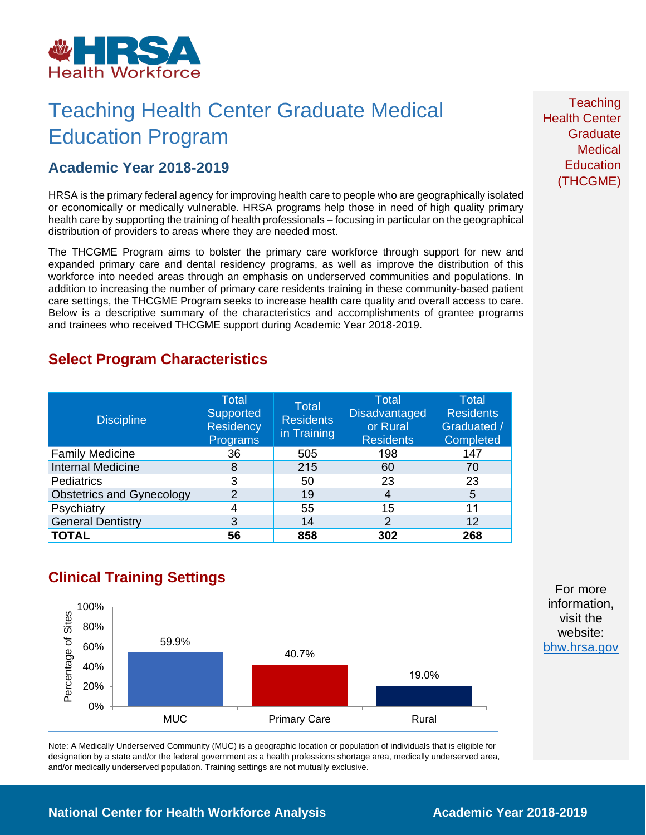

## Teaching Health Center Graduate Medical Education Program

### **Academic Year 2018-2019**

HRSA is the primary federal agency for improving health care to people who are geographically isolated or economically or medically vulnerable. HRSA programs help those in need of high quality primary health care by supporting the training of health professionals – focusing in particular on the geographical distribution of providers to areas where they are needed most.

The THCGME Program aims to bolster the primary care workforce through support for new and expanded primary care and dental residency programs, as well as improve the distribution of this workforce into needed areas through an emphasis on underserved communities and populations. In addition to increasing the number of primary care residents training in these community-based patient care settings, the THCGME Program seeks to increase health care quality and overall access to care. Below is a descriptive summary of the characteristics and accomplishments of grantee programs and trainees who received THCGME support during Academic Year 2018-2019.

### **Select Program Characteristics**

| <b>Discipline</b>                | <b>Total</b><br>Supported<br><b>Residency</b><br>Programs | <b>Total</b><br><b>Residents</b><br>in Training | <b>Total</b><br><b>Disadvantaged</b><br>or Rural<br><b>Residents</b> | Total<br><b>Residents</b><br>Graduated /<br>Completed |
|----------------------------------|-----------------------------------------------------------|-------------------------------------------------|----------------------------------------------------------------------|-------------------------------------------------------|
| <b>Family Medicine</b>           | 36                                                        | 505                                             | 198                                                                  | 147                                                   |
| <b>Internal Medicine</b>         | 8                                                         | 215                                             | 60                                                                   | 70                                                    |
| <b>Pediatrics</b>                | 3                                                         | 50                                              | 23                                                                   | 23                                                    |
| <b>Obstetrics and Gynecology</b> | 2                                                         | 19                                              | 4                                                                    | 5                                                     |
| Psychiatry                       | 4                                                         | 55                                              | 15                                                                   | 11                                                    |
| <b>General Dentistry</b>         | 3                                                         | 14                                              | $\overline{2}$                                                       | 12                                                    |
| <b>TOTAL</b>                     | 56                                                        | 858                                             | 302                                                                  | 268                                                   |

## **Clinical Training Settings**



Note: A Medically Underserved Community (MUC) is a geographic location or population of individuals that is eligible for designation by a state and/or the federal government as a health professions shortage area, medically underserved area, and/or medically underserved population. Training settings are not mutually exclusive.

**Teaching** Health Center **Graduate Medical Education** (THCGME)

For more information, visit the website: [bhw.hrsa.gov](http://bhw.hrsa.gov/)

**National Center for Health Workforce Analysis <b>Academic Year** 2018-2019